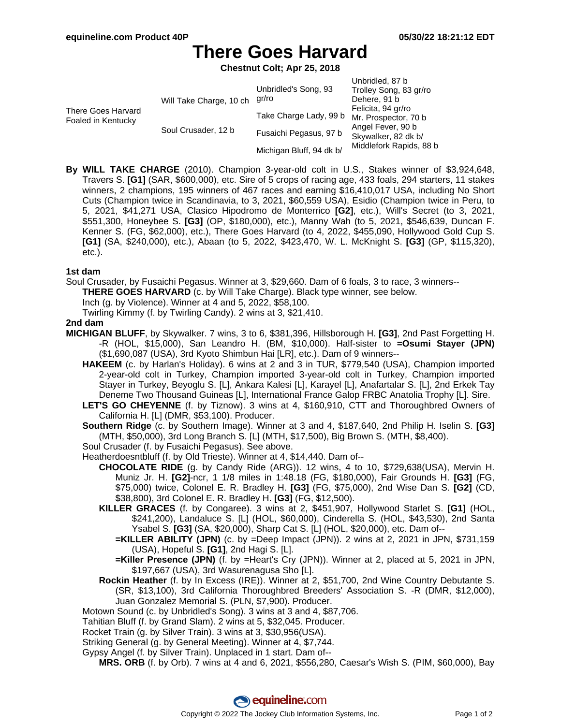Unbridled, 87 b

# **There Goes Harvard**

**Chestnut Colt; Apr 25, 2018**

|                                          | Will Take Charge, 10 ch | Unbridled's Song, 93<br>gr/ro | Unprigled, or p<br>Trolley Song, 83 gr/ro<br>Dehere, 91 b |
|------------------------------------------|-------------------------|-------------------------------|-----------------------------------------------------------|
| There Goes Harvard<br>Foaled in Kentucky |                         | Take Charge Lady, 99 b        | Felicita, 94 gr/ro<br>Mr. Prospector, 70 b                |
|                                          | Soul Crusader, 12 b     | Fusaichi Pegasus, 97 b        | Angel Fever, 90 b<br>Skywalker, 82 dk b/                  |
|                                          |                         | Michigan Bluff, 94 dk b/      | Middlefork Rapids, 88 b                                   |

**By WILL TAKE CHARGE** (2010). Champion 3-year-old colt in U.S., Stakes winner of \$3,924,648, Travers S. **[G1]** (SAR, \$600,000), etc. Sire of 5 crops of racing age, 433 foals, 294 starters, 11 stakes winners, 2 champions, 195 winners of 467 races and earning \$16,410,017 USA, including No Short Cuts (Champion twice in Scandinavia, to 3, 2021, \$60,559 USA), Esidio (Champion twice in Peru, to 5, 2021, \$41,271 USA, Clasico Hipodromo de Monterrico **[G2]**, etc.), Will's Secret (to 3, 2021, \$551,300, Honeybee S. **[G3]** (OP, \$180,000), etc.), Manny Wah (to 5, 2021, \$546,639, Duncan F. Kenner S. (FG, \$62,000), etc.), There Goes Harvard (to 4, 2022, \$455,090, Hollywood Gold Cup S. **[G1]** (SA, \$240,000), etc.), Abaan (to 5, 2022, \$423,470, W. L. McKnight S. **[G3]** (GP, \$115,320), etc.).

### **1st dam**

Soul Crusader, by Fusaichi Pegasus. Winner at 3, \$29,660. Dam of 6 foals, 3 to race, 3 winners--

**THERE GOES HARVARD** (c. by Will Take Charge). Black type winner, see below.

Inch (g. by Violence). Winner at 4 and 5, 2022, \$58,100.

Twirling Kimmy (f. by Twirling Candy). 2 wins at 3, \$21,410.

### **2nd dam**

- **MICHIGAN BLUFF**, by Skywalker. 7 wins, 3 to 6, \$381,396, Hillsborough H. **[G3]**, 2nd Past Forgetting H. -R (HOL, \$15,000), San Leandro H. (BM, \$10,000). Half-sister to **=Osumi Stayer (JPN)** (\$1,690,087 (USA), 3rd Kyoto Shimbun Hai [LR], etc.). Dam of 9 winners--
	- **HAKEEM** (c. by Harlan's Holiday). 6 wins at 2 and 3 in TUR, \$779,540 (USA), Champion imported 2-year-old colt in Turkey, Champion imported 3-year-old colt in Turkey, Champion imported Stayer in Turkey, Beyoglu S. [L], Ankara Kalesi [L], Karayel [L], Anafartalar S. [L], 2nd Erkek Tay Deneme Two Thousand Guineas [L], International France Galop FRBC Anatolia Trophy [L]. Sire.
	- **LET'S GO CHEYENNE** (f. by Tiznow). 3 wins at 4, \$160,910, CTT and Thoroughbred Owners of California H. [L] (DMR, \$53,100). Producer.

**Southern Ridge** (c. by Southern Image). Winner at 3 and 4, \$187,640, 2nd Philip H. Iselin S. **[G3]** (MTH, \$50,000), 3rd Long Branch S. [L] (MTH, \$17,500), Big Brown S. (MTH, \$8,400).

Soul Crusader (f. by Fusaichi Pegasus). See above.

Heatherdoesntbluff (f. by Old Trieste). Winner at 4, \$14,440. Dam of--

- **CHOCOLATE RIDE** (g. by Candy Ride (ARG)). 12 wins, 4 to 10, \$729,638(USA), Mervin H. Muniz Jr. H. **[G2]**-ncr, 1 1/8 miles in 1:48.18 (FG, \$180,000), Fair Grounds H. **[G3]** (FG, \$75,000) twice, Colonel E. R. Bradley H. **[G3]** (FG, \$75,000), 2nd Wise Dan S. **[G2]** (CD, \$38,800), 3rd Colonel E. R. Bradley H. **[G3]** (FG, \$12,500).
- **KILLER GRACES** (f. by Congaree). 3 wins at 2, \$451,907, Hollywood Starlet S. **[G1]** (HOL, \$241,200), Landaluce S. [L] (HOL, \$60,000), Cinderella S. (HOL, \$43,530), 2nd Santa Ysabel S. **[G3]** (SA, \$20,000), Sharp Cat S. [L] (HOL, \$20,000), etc. Dam of--
	- **=KILLER ABILITY (JPN)** (c. by =Deep Impact (JPN)). 2 wins at 2, 2021 in JPN, \$731,159 (USA), Hopeful S. **[G1]**, 2nd Hagi S. [L].
	- **=Killer Presence (JPN)** (f. by =Heart's Cry (JPN)). Winner at 2, placed at 5, 2021 in JPN, \$197,667 (USA), 3rd Wasurenagusa Sho [L].
- **Rockin Heather** (f. by In Excess (IRE)). Winner at 2, \$51,700, 2nd Wine Country Debutante S. (SR, \$13,100), 3rd California Thoroughbred Breeders' Association S. -R (DMR, \$12,000), Juan Gonzalez Memorial S. (PLN, \$7,900). Producer.
- Motown Sound (c. by Unbridled's Song). 3 wins at 3 and 4, \$87,706.
- Tahitian Bluff (f. by Grand Slam). 2 wins at 5, \$32,045. Producer.
- Rocket Train (g. by Silver Train). 3 wins at 3, \$30,956(USA).
- Striking General (g. by General Meeting). Winner at 4, \$7,744.
- Gypsy Angel (f. by Silver Train). Unplaced in 1 start. Dam of--

**MRS. ORB** (f. by Orb). 7 wins at 4 and 6, 2021, \$556,280, Caesar's Wish S. (PIM, \$60,000), Bay